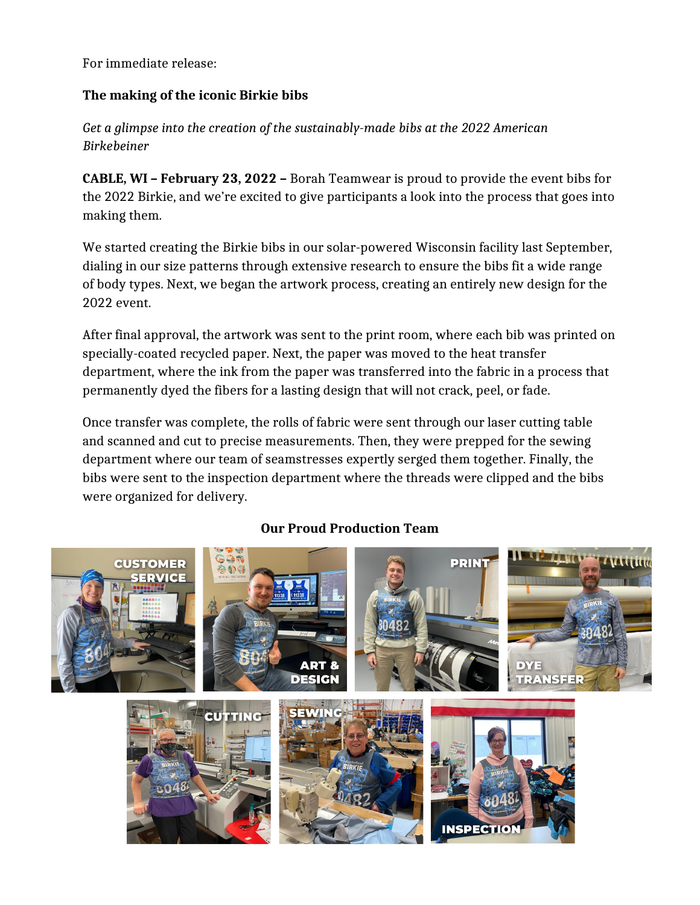For immediate release:

## **The making of the iconic Birkie bibs**

*Get a glimpse into the creation of the sustainably-made bibs at the 2022 American Birkebeiner* 

**CABLE, WI – February 23, 2022 –** Borah Teamwear is proud to provide the event bibs for the 2022 Birkie, and we're excited to give participants a look into the process that goes into making them.

We started creating the Birkie bibs in our solar-powered Wisconsin facility last September, dialing in our size patterns through extensive research to ensure the bibs fit a wide range of body types. Next, we began the artwork process, creating an entirely new design for the 2022 event.

After final approval, the artwork was sent to the print room, where each bib was printed on specially-coated recycled paper. Next, the paper was moved to the heat transfer department, where the ink from the paper was transferred into the fabric in a process that permanently dyed the fibers for a lasting design that will not crack, peel, or fade.

Once transfer was complete, the rolls of fabric were sent through our laser cutting table and scanned and cut to precise measurements. Then, they were prepped for the sewing department where our team of seamstresses expertly serged them together. Finally, the bibs were sent to the inspection department where the threads were clipped and the bibs were organized for delivery.

## **Our Proud Production Team**